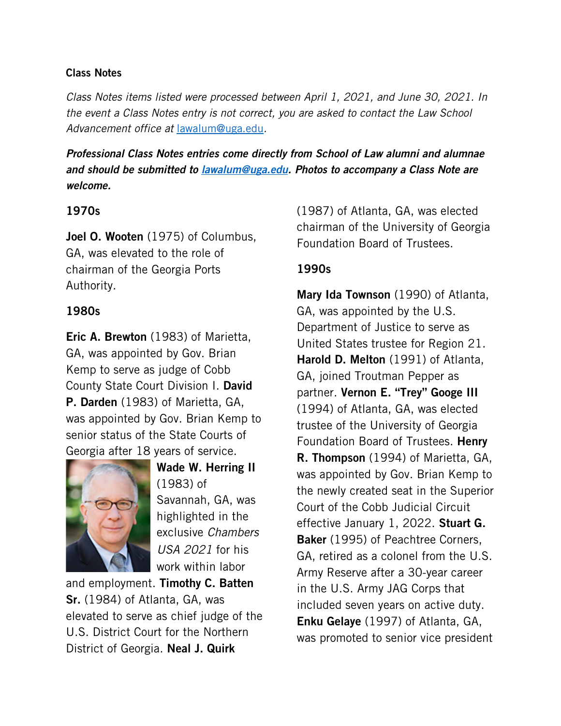#### Class Notes

*Class Notes items listed were processed between April 1, 2021, and June 30, 2021. In the event a Class Notes entry is not correct, you are asked to contact the Law School Advancement office at* [lawalum@uga.edu](mailto:lawalum@uga.edu)*.*

*Professional Class Notes entries come directly from School of Law alumni and alumnae and should be submitted to [lawalum@uga.edu.](mailto:lawalum@uga.edu) Photos to accompany a Class Note are welcome.*

# 1970s

Joel O. Wooten (1975) of Columbus, GA, was elevated to the role of chairman of the Georgia Ports Authority.

# 1980s

Eric A. Brewton (1983) of Marietta, GA, was appointed by Gov. Brian Kemp to serve as judge of Cobb County State Court Division I. David P. Darden (1983) of Marietta, GA, was appointed by Gov. Brian Kemp to senior status of the State Courts of Georgia after 18 years of service.



Wade W. Herring II (1983) of Savannah, GA, was highlighted in the exclusive *Chambers USA 2021* for his work within labor

and employment. Timothy C. Batten Sr. (1984) of Atlanta, GA, was elevated to serve as chief judge of the U.S. District Court for the Northern District of Georgia. Neal J. Quirk

(1987) of Atlanta, GA, was elected chairman of the University of Georgia Foundation Board of Trustees.

# 1990s

Mary Ida Townson (1990) of Atlanta, GA, was appointed by the U.S. Department of Justice to serve as United States trustee for Region 21. Harold D. Melton (1991) of Atlanta, GA, joined Troutman Pepper as partner. Vernon E. "Trey" Googe III (1994) of Atlanta, GA, was elected trustee of the University of Georgia Foundation Board of Trustees. Henry R. Thompson (1994) of Marietta, GA, was appointed by Gov. Brian Kemp to the newly created seat in the Superior Court of the Cobb Judicial Circuit effective January 1, 2022. Stuart G. **Baker** (1995) of Peachtree Corners, GA, retired as a colonel from the U.S. Army Reserve after a 30-year career in the U.S. Army JAG Corps that included seven years on active duty. Enku Gelaye (1997) of Atlanta, GA, was promoted to senior vice president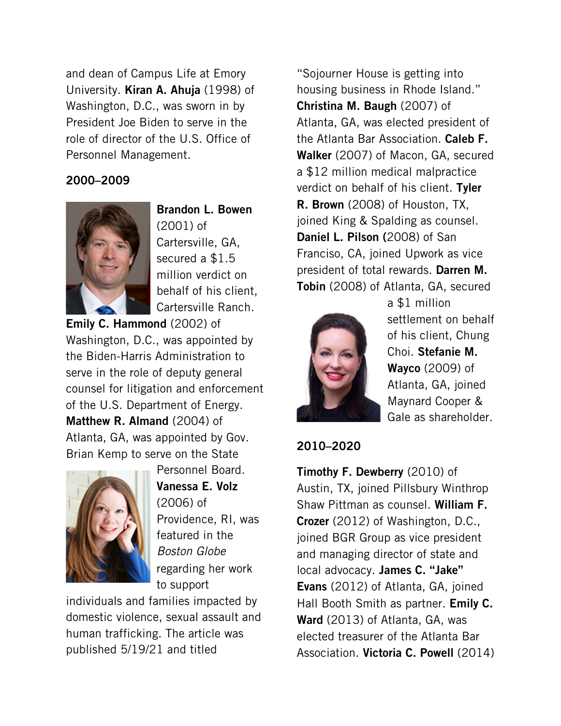and dean of Campus Life at Emory University. Kiran A. Ahuja (1998) of Washington, D.C., was sworn in by President Joe Biden to serve in the role of director of the U.S. Office of Personnel Management.

### 2000–2009



Brandon L. Bowen (2001) of Cartersville, GA, secured a \$1.5 million verdict on behalf of his client, Cartersville Ranch.

Emily C. Hammond (2002) of Washington, D.C., was appointed by the Biden-Harris Administration to serve in the role of deputy general counsel for litigation and enforcement of the U.S. Department of Energy. Matthew R. Almand (2004) of Atlanta, GA, was appointed by Gov. Brian Kemp to serve on the State



Personnel Board. Vanessa E. Volz (2006) of Providence, RI, was featured in the *Boston Globe* regarding her work to support

individuals and families impacted by domestic violence, sexual assault and human trafficking. The article was published 5/19/21 and titled

"Sojourner House is getting into housing business in Rhode Island." Christina M. Baugh (2007) of Atlanta, GA, was elected president of the Atlanta Bar Association. Caleb F. Walker (2007) of Macon, GA, secured a \$12 million medical malpractice verdict on behalf of his client. Tyler R. Brown (2008) of Houston, TX, joined King & Spalding as counsel. Daniel L. Pilson (2008) of San Franciso, CA, joined Upwork as vice president of total rewards. Darren M. Tobin (2008) of Atlanta, GA, secured



a \$1 million settlement on behalf of his client, Chung Choi. Stefanie M. Wayco (2009) of Atlanta, GA, joined Maynard Cooper & Gale as shareholder.

# 2010–2020

**Timothy F. Dewberry** (2010) of Austin, TX, joined Pillsbury Winthrop Shaw Pittman as counsel. William F. Crozer (2012) of Washington, D.C., joined BGR Group as vice president and managing director of state and local advocacy. James C. "Jake" Evans (2012) of Atlanta, GA, joined Hall Booth Smith as partner. **Emily C.** Ward (2013) of Atlanta, GA, was elected treasurer of the Atlanta Bar Association. Victoria C. Powell (2014)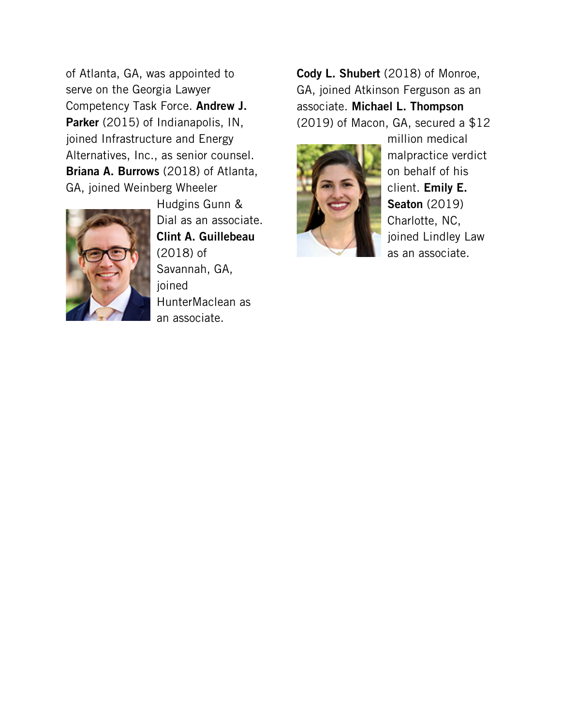of Atlanta, GA, was appointed to serve on the Georgia Lawyer Competency Task Force. Andrew J. Parker (2015) of Indianapolis, IN, joined Infrastructure and Energy Alternatives, Inc., as senior counsel. Briana A. Burrows (2018) of Atlanta, GA, joined Weinberg Wheeler



Hudgins Gunn & Dial as an associate. Clint A. Guillebeau (2018) of Savannah, GA, joined HunterMaclean as an associate.

Cody L. Shubert (2018) of Monroe, GA, joined Atkinson Ferguson as an associate. Michael L. Thompson (2019) of Macon, GA, secured a \$12



million medical malpractice verdict on behalf of his client. Emily E. Seaton (2019) Charlotte, NC, joined Lindley Law as an associate.